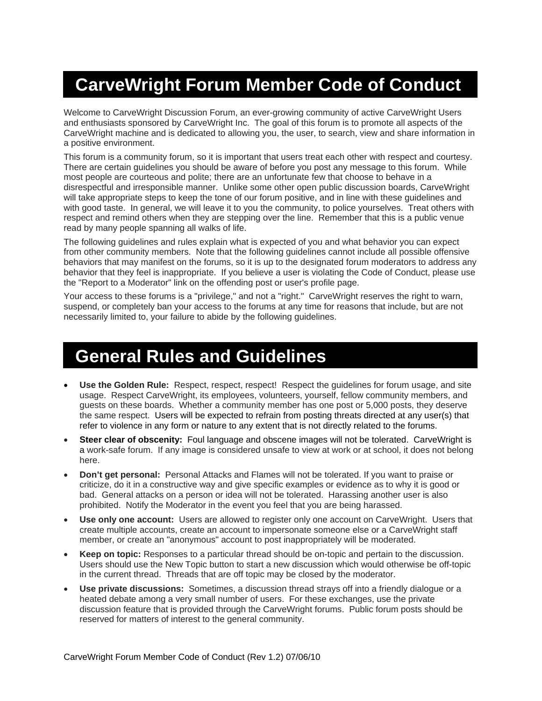# **CarveWright Forum Member Code of Conduct**

Welcome to CarveWright Discussion Forum, an ever-growing community of active CarveWright Users and enthusiasts sponsored by CarveWright Inc. The goal of this forum is to promote all aspects of the CarveWright machine and is dedicated to allowing you, the user, to search, view and share information in a positive environment.

This forum is a community forum, so it is important that users treat each other with respect and courtesy. There are certain guidelines you should be aware of before you post any message to this forum. While most people are courteous and polite; there are an unfortunate few that choose to behave in a disrespectful and irresponsible manner. Unlike some other open public discussion boards, CarveWright will take appropriate steps to keep the tone of our forum positive, and in line with these guidelines and with good taste. In general, we will leave it to you the community, to police yourselves. Treat others with respect and remind others when they are stepping over the line. Remember that this is a public venue read by many people spanning all walks of life.

The following guidelines and rules explain what is expected of you and what behavior you can expect from other community members. Note that the following guidelines cannot include all possible offensive behaviors that may manifest on the forums, so it is up to the designated forum moderators to address any behavior that they feel is inappropriate. If you believe a user is violating the Code of Conduct, please use the "Report to a Moderator" link on the offending post or user's profile page.

Your access to these forums is a "privilege," and not a "right." CarveWright reserves the right to warn, suspend, or completely ban your access to the forums at any time for reasons that include, but are not necessarily limited to, your failure to abide by the following guidelines.

#### **General Rules and Guidelines**

- **Use the Golden Rule:** Respect, respect, respect! Respect the guidelines for forum usage, and site usage. Respect CarveWright, its employees, volunteers, yourself, fellow community members, and guests on these boards. Whether a community member has one post or 5,000 posts, they deserve the same respect. Users will be expected to refrain from posting threats directed at any user(s) that refer to violence in any form or nature to any extent that is not directly related to the forums.
- **Steer clear of obscenity:** Foul language and obscene images will not be tolerated. CarveWright is a work-safe forum. If any image is considered unsafe to view at work or at school, it does not belong here.
- **Don't get personal:** Personal Attacks and Flames will not be tolerated. If you want to praise or criticize, do it in a constructive way and give specific examples or evidence as to why it is good or bad. General attacks on a person or idea will not be tolerated. Harassing another user is also prohibited. Notify the Moderator in the event you feel that you are being harassed.
- **Use only one account:** Users are allowed to register only one account on CarveWright. Users that create multiple accounts, create an account to impersonate someone else or a CarveWright staff member, or create an "anonymous" account to post inappropriately will be moderated.
- **Keep on topic:** Responses to a particular thread should be on-topic and pertain to the discussion. Users should use the New Topic button to start a new discussion which would otherwise be off-topic in the current thread. Threads that are off topic may be closed by the moderator.
- **Use private discussions:** Sometimes, a discussion thread strays off into a friendly dialogue or a heated debate among a very small number of users. For these exchanges, use the private discussion feature that is provided through the CarveWright forums. Public forum posts should be reserved for matters of interest to the general community.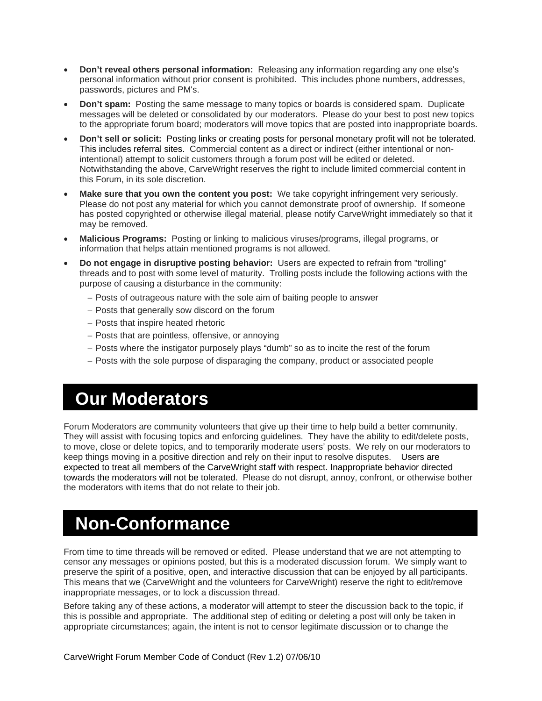- **Don't reveal others personal information:** Releasing any information regarding any one else's personal information without prior consent is prohibited. This includes phone numbers, addresses, passwords, pictures and PM's.
- **Don't spam:** Posting the same message to many topics or boards is considered spam. Duplicate messages will be deleted or consolidated by our moderators. Please do your best to post new topics to the appropriate forum board; moderators will move topics that are posted into inappropriate boards.
- **Don't sell or solicit:** Posting links or creating posts for personal monetary profit will not be tolerated. This includes referral sites. Commercial content as a direct or indirect (either intentional or nonintentional) attempt to solicit customers through a forum post will be edited or deleted. Notwithstanding the above, CarveWright reserves the right to include limited commercial content in this Forum, in its sole discretion.
- **Make sure that you own the content you post:** We take copyright infringement very seriously. Please do not post any material for which you cannot demonstrate proof of ownership. If someone has posted copyrighted or otherwise illegal material, please notify CarveWright immediately so that it may be removed.
- **Malicious Programs:** Posting or linking to malicious viruses/programs, illegal programs, or information that helps attain mentioned programs is not allowed.
- **Do not engage in disruptive posting behavior:** Users are expected to refrain from "trolling" threads and to post with some level of maturity. Trolling posts include the following actions with the purpose of causing a disturbance in the community:
	- − Posts of outrageous nature with the sole aim of baiting people to answer
	- − Posts that generally sow discord on the forum
	- − Posts that inspire heated rhetoric
	- − Posts that are pointless, offensive, or annoying
	- − Posts where the instigator purposely plays "dumb" so as to incite the rest of the forum
	- − Posts with the sole purpose of disparaging the company, product or associated people

### **Our Moderators**

Forum Moderators are community volunteers that give up their time to help build a better community. They will assist with focusing topics and enforcing guidelines. They have the ability to edit/delete posts, to move, close or delete topics, and to temporarily moderate users' posts. We rely on our moderators to keep things moving in a positive direction and rely on their input to resolve disputes. Users are expected to treat all members of the CarveWright staff with respect. Inappropriate behavior directed towards the moderators will not be tolerated. Please do not disrupt, annoy, confront, or otherwise bother the moderators with items that do not relate to their job.

#### **Non-Conformance**

From time to time threads will be removed or edited. Please understand that we are not attempting to censor any messages or opinions posted, but this is a moderated discussion forum. We simply want to preserve the spirit of a positive, open, and interactive discussion that can be enjoyed by all participants. This means that we (CarveWright and the volunteers for CarveWright) reserve the right to edit/remove inappropriate messages, or to lock a discussion thread.

Before taking any of these actions, a moderator will attempt to steer the discussion back to the topic, if this is possible and appropriate. The additional step of editing or deleting a post will only be taken in appropriate circumstances; again, the intent is not to censor legitimate discussion or to change the